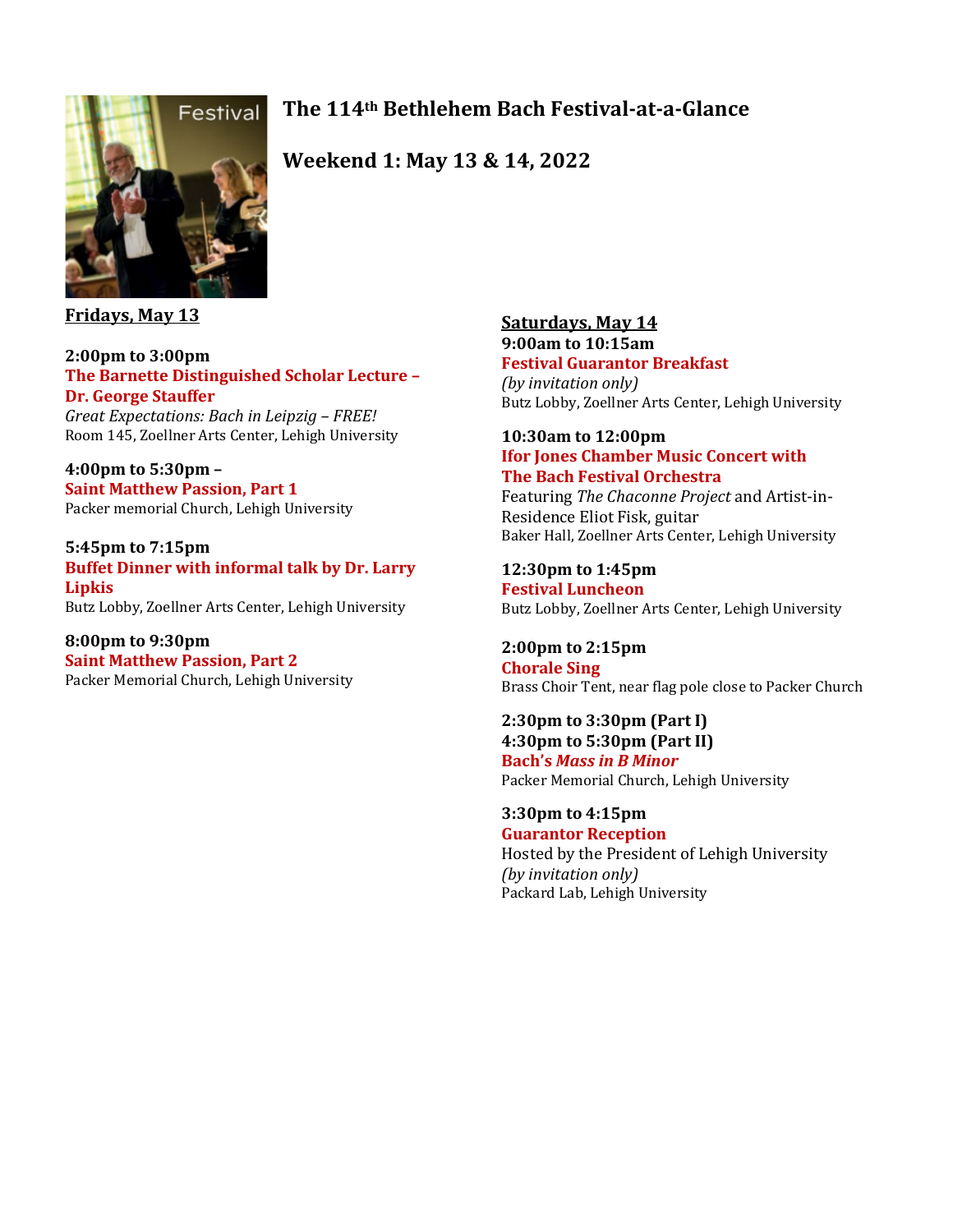# **The 114th Bethlehem Bach Festival-at-a-Glance**



**Weekend 1: May 13 & 14, 2022** 

## **Fridays, May 13**

### **2:00pm to 3:00pm The Barnette Distinguished Scholar Lecture – Dr. George Stauffer**

*Great Expectations: Bach in Leipzig – FREE!* Room 145, Zoellner Arts Center, Lehigh University

**4:00pm to 5:30pm – Saint Matthew Passion, Part 1** Packer memorial Church, Lehigh University

**5:45pm to 7:15pm Buffet Dinner with informal talk by Dr. Larry Lipkis** Butz Lobby, Zoellner Arts Center, Lehigh University

**8:00pm to 9:30pm Saint Matthew Passion, Part 2** Packer Memorial Church, Lehigh University

### **Saturdays, May 14 9:00am to 10:15am Festival Guarantor Breakfast**

*(by invitation only)* Butz Lobby, Zoellner Arts Center, Lehigh University

### **10:30am to 12:00pm Ifor Jones Chamber Music Concert with The Bach Festival Orchestra**

Featuring *The Chaconne Project* and Artist-in-Residence Eliot Fisk, guitar Baker Hall, Zoellner Arts Center, Lehigh University

# **12:30pm to 1:45pm**

**Festival Luncheon** Butz Lobby, Zoellner Arts Center, Lehigh University

# **2:00pm to 2:15pm**

**Chorale Sing**  Brass Choir Tent, near flag pole close to Packer Church

#### **2:30pm to 3:30pm (Part I) 4:30pm to 5:30pm (Part II) Bach's** *Mass in B Minor* Packer Memorial Church, Lehigh University

**3:30pm to 4:15pm Guarantor Reception**  Hosted by the President of Lehigh University *(by invitation only)* Packard Lab, Lehigh University